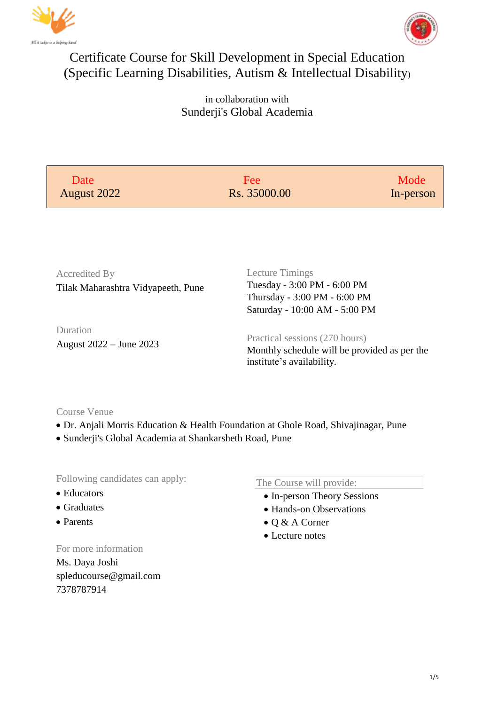



## Certificate Course for Skill Development in Special Education (Specific Learning Disabilities, Autism & Intellectual Disability)

in collaboration with Sunderji's Global Academia

| Date<br>August 2022                                 | Fee<br>Rs. 35000.00                                                                                             | Mode<br>In-person |
|-----------------------------------------------------|-----------------------------------------------------------------------------------------------------------------|-------------------|
|                                                     |                                                                                                                 |                   |
| Accredited By<br>Tilak Maharashtra Vidyapeeth, Pune | Lecture Timings<br>Tuesday - 3:00 PM - 6:00 PM<br>Thursday - 3:00 PM - 6:00 PM<br>Saturday - 10:00 AM - 5:00 PM |                   |
| Duration<br>August 2022 – June 2023                 | Practical sessions (270 hours)<br>Monthly schedule will be provided as per the<br>institute's availability.     |                   |

## Course Venue

- Dr. Anjali Morris Education & Health Foundation at Ghole Road, Shivajinagar, Pune
- Sunderji's Global Academia at Shankarsheth Road, Pune

Following candidates can apply:

- Educators
- Graduates
- Parents

For more information

Ms. Daya Joshi spleducourse@gmail.com 7378787914

The Course will provide:

- In-person Theory Sessions
- Hands-on Observations
- Q & A Corner
- Lecture notes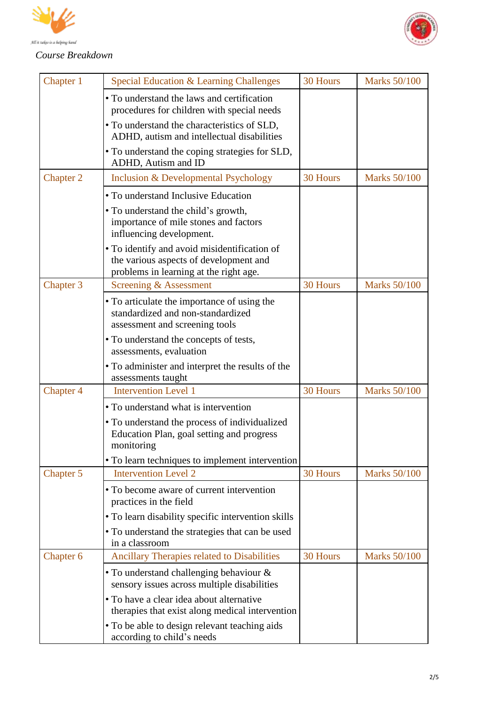



## *Course Breakdown*

| Chapter 1        | Special Education & Learning Challenges                                                                                                         | 30 Hours        | <b>Marks 50/100</b> |
|------------------|-------------------------------------------------------------------------------------------------------------------------------------------------|-----------------|---------------------|
|                  | • To understand the laws and certification<br>procedures for children with special needs                                                        |                 |                     |
|                  | • To understand the characteristics of SLD,<br>ADHD, autism and intellectual disabilities                                                       |                 |                     |
|                  | • To understand the coping strategies for SLD,<br>ADHD, Autism and ID                                                                           |                 |                     |
| <b>Chapter 2</b> | <b>Inclusion &amp; Developmental Psychology</b>                                                                                                 | <b>30 Hours</b> | <b>Marks 50/100</b> |
|                  | • To understand Inclusive Education<br>• To understand the child's growth,<br>importance of mile stones and factors<br>influencing development. |                 |                     |
|                  | • To identify and avoid misidentification of<br>the various aspects of development and<br>problems in learning at the right age.                |                 |                     |
| Chapter 3        | Screening & Assessment                                                                                                                          | 30 Hours        | <b>Marks 50/100</b> |
|                  | • To articulate the importance of using the<br>standardized and non-standardized<br>assessment and screening tools                              |                 |                     |
|                  | • To understand the concepts of tests,<br>assessments, evaluation                                                                               |                 |                     |
|                  | • To administer and interpret the results of the<br>assessments taught                                                                          |                 |                     |
| Chapter 4        | <b>Intervention Level 1</b>                                                                                                                     | 30 Hours        | <b>Marks 50/100</b> |
|                  | • To understand what is intervention                                                                                                            |                 |                     |
|                  | • To understand the process of individualized<br>Education Plan, goal setting and progress<br>monitoring                                        |                 |                     |
|                  | • To learn techniques to implement intervention                                                                                                 |                 |                     |
| Chapter 5        | <b>Intervention Level 2</b>                                                                                                                     | 30 Hours        | <b>Marks 50/100</b> |
|                  | • To become aware of current intervention<br>practices in the field                                                                             |                 |                     |
|                  | • To learn disability specific intervention skills                                                                                              |                 |                     |
|                  | • To understand the strategies that can be used<br>in a classroom                                                                               |                 |                     |
| Chapter 6        | Ancillary Therapies related to Disabilities                                                                                                     | 30 Hours        | <b>Marks 50/100</b> |
|                  | • To understand challenging behaviour &<br>sensory issues across multiple disabilities                                                          |                 |                     |
|                  | • To have a clear idea about alternative<br>therapies that exist along medical intervention                                                     |                 |                     |
|                  | • To be able to design relevant teaching aids<br>according to child's needs                                                                     |                 |                     |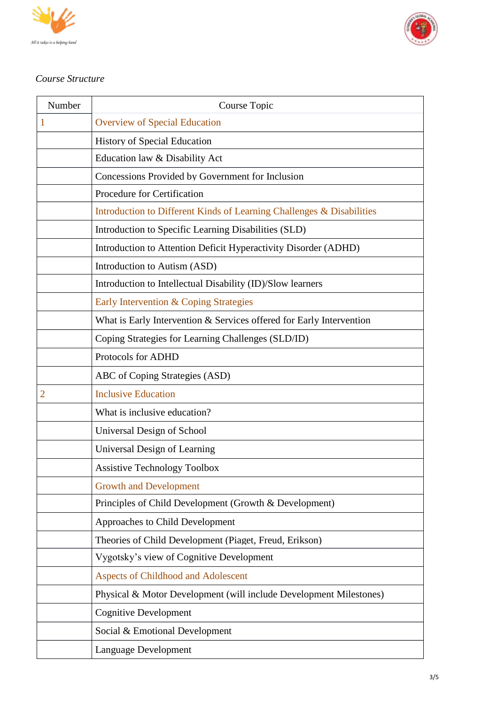



## *Course Structure*

| Number         | Course Topic                                                          |
|----------------|-----------------------------------------------------------------------|
| $\mathbf{1}$   | <b>Overview of Special Education</b>                                  |
|                | <b>History of Special Education</b>                                   |
|                | Education law & Disability Act                                        |
|                | Concessions Provided by Government for Inclusion                      |
|                | Procedure for Certification                                           |
|                | Introduction to Different Kinds of Learning Challenges & Disabilities |
|                | Introduction to Specific Learning Disabilities (SLD)                  |
|                | Introduction to Attention Deficit Hyperactivity Disorder (ADHD)       |
|                | Introduction to Autism (ASD)                                          |
|                | Introduction to Intellectual Disability (ID)/Slow learners            |
|                | Early Intervention & Coping Strategies                                |
|                | What is Early Intervention & Services offered for Early Intervention  |
|                | Coping Strategies for Learning Challenges (SLD/ID)                    |
|                | Protocols for ADHD                                                    |
|                | ABC of Coping Strategies (ASD)                                        |
| $\overline{2}$ | <b>Inclusive Education</b>                                            |
|                | What is inclusive education?                                          |
|                | Universal Design of School                                            |
|                | Universal Design of Learning                                          |
|                | <b>Assistive Technology Toolbox</b>                                   |
|                | <b>Growth and Development</b>                                         |
|                | Principles of Child Development (Growth & Development)                |
|                | Approaches to Child Development                                       |
|                | Theories of Child Development (Piaget, Freud, Erikson)                |
|                | Vygotsky's view of Cognitive Development                              |
|                | <b>Aspects of Childhood and Adolescent</b>                            |
|                | Physical & Motor Development (will include Development Milestones)    |
|                | <b>Cognitive Development</b>                                          |
|                | Social & Emotional Development                                        |
|                | Language Development                                                  |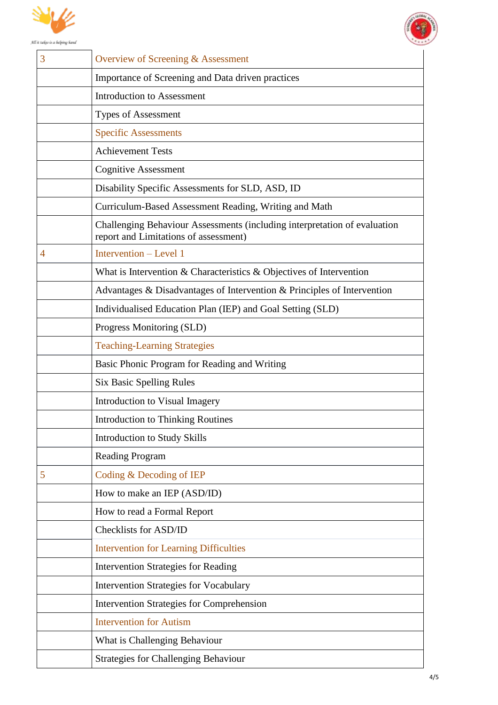



| Importance of Screening and Data driven practices                                                                  |
|--------------------------------------------------------------------------------------------------------------------|
| <b>Introduction to Assessment</b>                                                                                  |
| <b>Types of Assessment</b>                                                                                         |
| <b>Specific Assessments</b>                                                                                        |
| <b>Achievement Tests</b>                                                                                           |
| <b>Cognitive Assessment</b>                                                                                        |
| Disability Specific Assessments for SLD, ASD, ID                                                                   |
| Curriculum-Based Assessment Reading, Writing and Math                                                              |
| Challenging Behaviour Assessments (including interpretation of evaluation<br>report and Limitations of assessment) |
| Intervention – Level 1                                                                                             |
| What is Intervention $&$ Characteristics $&$ Objectives of Intervention                                            |
| Advantages & Disadvantages of Intervention & Principles of Intervention                                            |
| Individualised Education Plan (IEP) and Goal Setting (SLD)                                                         |
| Progress Monitoring (SLD)                                                                                          |
| <b>Teaching-Learning Strategies</b>                                                                                |
| Basic Phonic Program for Reading and Writing                                                                       |
| <b>Six Basic Spelling Rules</b>                                                                                    |
| Introduction to Visual Imagery                                                                                     |
| <b>Introduction to Thinking Routines</b>                                                                           |
| <b>Introduction to Study Skills</b>                                                                                |
| <b>Reading Program</b>                                                                                             |
| Coding & Decoding of IEP                                                                                           |
| How to make an IEP (ASD/ID)                                                                                        |
| How to read a Formal Report                                                                                        |
| Checklists for ASD/ID                                                                                              |
| <b>Intervention for Learning Difficulties</b>                                                                      |
| <b>Intervention Strategies for Reading</b>                                                                         |
| <b>Intervention Strategies for Vocabulary</b>                                                                      |
| <b>Intervention Strategies for Comprehension</b>                                                                   |
| <b>Intervention for Autism</b>                                                                                     |
| What is Challenging Behaviour                                                                                      |
| <b>Strategies for Challenging Behaviour</b>                                                                        |
|                                                                                                                    |